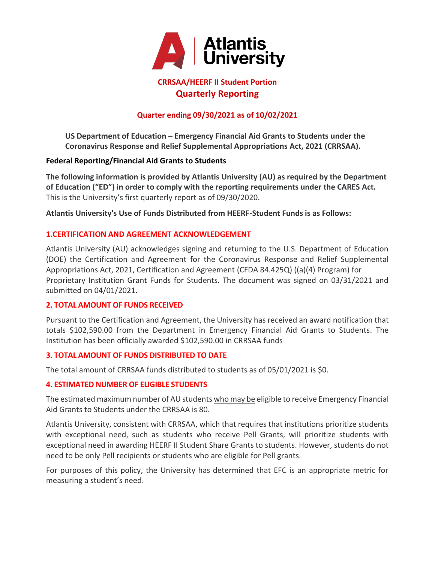

# **CRRSAA/HEERF II Student Portion Quarterly Reporting**

# **Quarter ending 09/30/2021 as of 10/02/2021**

**US Department of Education – Emergency Financial Aid Grants to Students under the Coronavirus Response and Relief Supplemental Appropriations Act, 2021 (CRRSAA).**

#### **Federal Reporting/Financial Aid Grants to Students**

**The following information is provided by Atlantis University (AU) as required by the Department of Education ("ED") in order to comply with the reporting requirements under the CARES Act.**  This is the University's first quarterly report as of 09/30/2020.

**Atlantis University's Use of Funds Distributed from HEERF-Student Funds is as Follows:**

## **1.CERTIFICATION AND AGREEMENT ACKNOWLEDGEMENT**

Atlantis University (AU) acknowledges signing and returning to the U.S. Department of Education (DOE) the Certification and Agreement for the Coronavirus Response and Relief Supplemental Appropriations Act, 2021, Certification and Agreement (CFDA 84.425Q) ((a)(4) Program) for Proprietary Institution Grant Funds for Students. The document was signed on 03/31/2021 and submitted on 04/01/2021.

#### **2. TOTAL AMOUNT OF FUNDS RECEIVED**

Pursuant to the Certification and Agreement, the University has received an award notification that totals \$102,590.00 from the Department in Emergency Financial Aid Grants to Students. The Institution has been officially awarded \$102,590.00 in CRRSAA funds

## **3. TOTAL AMOUNT OF FUNDS DISTRIBUTED TO DATE**

The total amount of CRRSAA funds distributed to students as of 05/01/2021 is \$0.

#### **4. ESTIMATED NUMBER OF ELIGIBLE STUDENTS**

The estimated maximum number of AU students who may be eligible to receive Emergency Financial Aid Grants to Students under the CRRSAA is 80.

Atlantis University, consistent with CRRSAA, which that requires that institutions prioritize students with exceptional need, such as students who receive Pell Grants, will prioritize students with exceptional need in awarding HEERF II Student Share Grants to students. However, students do not need to be only Pell recipients or students who are eligible for Pell grants.

For purposes of this policy, the University has determined that EFC is an appropriate metric for measuring a student's need.